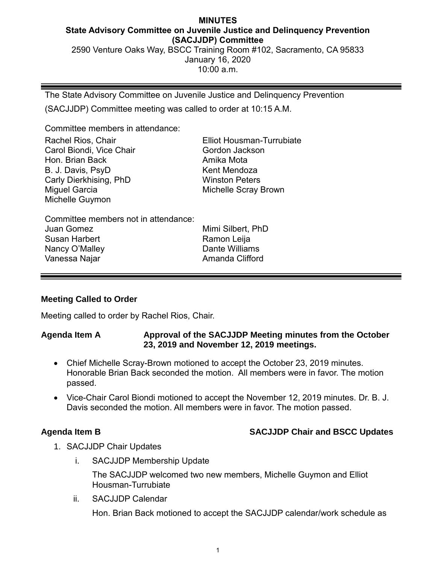### **MINUTES State Advisory Committee on Juvenile Justice and Delinquency Prevention (SACJJDP) Committee**

2590 Venture Oaks Way, BSCC Training Room #102, Sacramento, CA 95833 January 16, 2020 10:00 a.m.

The State Advisory Committee on Juvenile Justice and Delinquency Prevention

(SACJJDP) Committee meeting was called to order at 10:15 A.M.

Committee members in attendance:

| Rachel Rios, Chair       | <b>Elliot Housman-Turrubiate</b> |
|--------------------------|----------------------------------|
| Carol Biondi, Vice Chair | Gordon Jackson                   |
| Hon. Brian Back          | Amika Mota                       |
| B. J. Davis, PsyD.       | Kent Mendoza                     |
| Carly Dierkhising, PhD   | <b>Winston Peters</b>            |
| Miguel Garcia            | <b>Michelle Scray Brown</b>      |
| Michelle Guymon          |                                  |

| Committee members not in attendance: |                   |
|--------------------------------------|-------------------|
| Juan Gomez                           | Mimi Silbert, PhD |
| Susan Harbert                        | Ramon Leija       |
| Nancy O'Malley                       | Dante Williams    |
| Vanessa Najar                        | Amanda Clifford   |
|                                      |                   |

# **Meeting Called to Order**

Meeting called to order by Rachel Rios, Chair.

## **Agenda Item A Approval of the SACJJDP Meeting minutes from the October 23, 2019 and November 12, 2019 meetings.**

- Chief Michelle Scray-Brown motioned to accept the October 23, 2019 minutes. Honorable Brian Back seconded the motion. All members were in favor. The motion passed.
- Vice-Chair Carol Biondi motioned to accept the November 12, 2019 minutes. Dr. B. J. Davis seconded the motion. All members were in favor. The motion passed.

# **Agenda Item B SACJJDP Chair and BSCC Updates**

- 1. SACJJDP Chair Updates
	- i. SACJJDP Membership Update

The SACJJDP welcomed two new members, Michelle Guymon and Elliot Housman-Turrubiate

ii. SACJJDP Calendar

Hon. Brian Back motioned to accept the SACJJDP calendar/work schedule as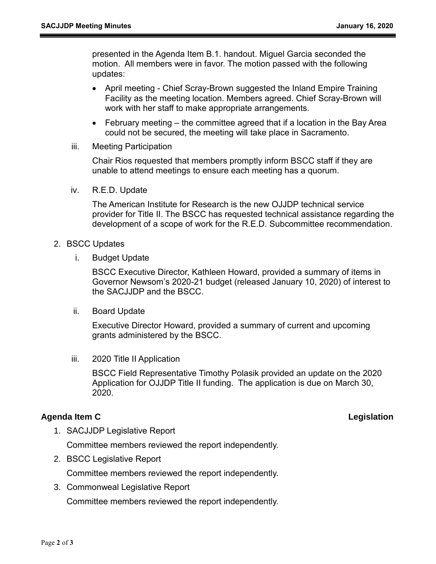presented in the Agenda Item B.1. handout. Miguel Garcia seconded the motion. All members were in favor. The motion passed with the following updates:

- April meeting Chief Scray-Brown suggested the Inland Empire Training Facility as the meeting location. Members agreed. Chief Scray-Brown will work with her staff to make appropriate arrangements.
- February meeting the committee agreed that if a location in the Bay Area could not be secured, the meeting will take place in Sacramento.
- iii. Meeting Participation

Chair Rios requested that members promptly inform BSCC staff if they are unable to attend meetings to ensure each meeting has a quorum.

iv. R.E.D. Update

The American Institute for Research is the new OJJDP technical service provider for Title II. The BSCC has requested technical assistance regarding the development of a scope of work for the R.E.D. Subcommittee recommendation.

- 2. BSCC Updates
	- i. Budget Update

BSCC Executive Director, Kathleen Howard, provided a summary of items in Governor Newsom's 2020-21 budget (released January 10, 2020) of interest to the SACJJDP and the BSCC.

ii. Board Update

Executive Director Howard, provided a summary of current and upcoming grants administered by the BSCC.

iii. 2020 Title II Application

BSCC Field Representative Timothy Polasik provided an update on the 2020 Application for OJJDP Title II funding. The application is due on March 30, 2020.

### **Agenda Item C Legislation**

1. SACJJDP Legislative Report

Committee members reviewed the report independently.

2. BSCC Legislative Report

Committee members reviewed the report independently.

3. Commonweal Legislative Report Committee members reviewed the report independently.